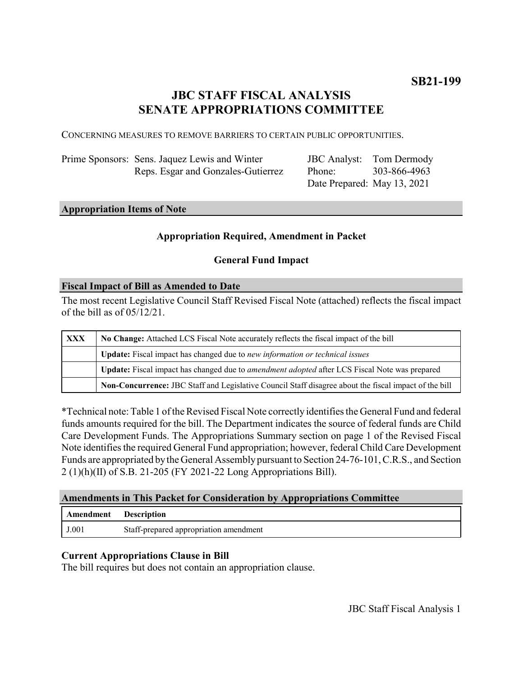# **JBC STAFF FISCAL ANALYSIS SENATE APPROPRIATIONS COMMITTEE**

CONCERNING MEASURES TO REMOVE BARRIERS TO CERTAIN PUBLIC OPPORTUNITIES.

| Prime Sponsors: Sens. Jaquez Lewis and Winter |
|-----------------------------------------------|
| Reps. Esgar and Gonzales-Gutierrez            |

JBC Analyst: Tom Dermody Phone: Date Prepared: May 13, 2021 303-866-4963

## **Appropriation Items of Note**

#### **Appropriation Required, Amendment in Packet**

#### **General Fund Impact**

#### **Fiscal Impact of Bill as Amended to Date**

The most recent Legislative Council Staff Revised Fiscal Note (attached) reflects the fiscal impact of the bill as of 05/12/21.

| XXX | No Change: Attached LCS Fiscal Note accurately reflects the fiscal impact of the bill                 |  |
|-----|-------------------------------------------------------------------------------------------------------|--|
|     | Update: Fiscal impact has changed due to new information or technical issues                          |  |
|     | Update: Fiscal impact has changed due to <i>amendment adopted</i> after LCS Fiscal Note was prepared  |  |
|     | Non-Concurrence: JBC Staff and Legislative Council Staff disagree about the fiscal impact of the bill |  |

\*Technical note: Table 1 of the Revised Fiscal Note correctly identifies the General Fund and federal funds amounts required for the bill. The Department indicates the source of federal funds are Child Care Development Funds. The Appropriations Summary section on page 1 of the Revised Fiscal Note identifies the required General Fund appropriation; however, federal Child Care Development Funds are appropriated by the General Assembly pursuant to Section 24-76-101, C.R.S., and Section 2 (1)(h)(II) of S.B. 21-205 (FY 2021-22 Long Appropriations Bill).

#### **Amendments in This Packet for Consideration by Appropriations Committee**

| Amendment | <b>Description</b>                     |
|-----------|----------------------------------------|
| J.001     | Staff-prepared appropriation amendment |

#### **Current Appropriations Clause in Bill**

The bill requires but does not contain an appropriation clause.